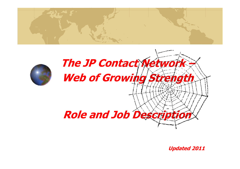



**Updated 2011**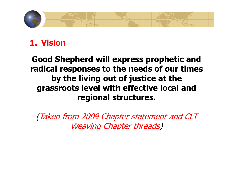

## **1. Vision**

### **Good Shepherd will express prophetic and radical responses to the needs of our times by the living out of justice at the grassroots level with effective local and regional structures.**

(Taken from 2009 Chapter statement and CLT Weaving Chapter threads)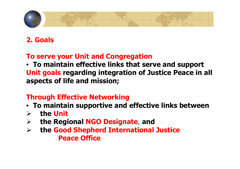

### **2. Goals**

#### **To serve your Unit and Congregation**

 • **To maintain effective links that serve and support Unit goals regarding integration of Justice Peace in all aspects of life and mission;**

#### **Through Effective Networking**

- **To maintain supportive and effective links between**
- $\sum_{i=1}^{n}$ **the Unit**
- $\blacktriangleright$ **the Regional NGO Designate**, **and**
- $\blacktriangleright$  **the Good Shepherd International Justice Peace Office**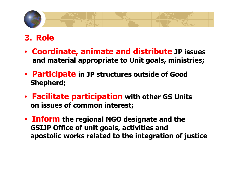

# **3. Role**

- **Coordinate, animate and distribute JP issues and material appropriate to Unit goals, ministries;**
- **Participate in JP structures outside of Good Shepherd;**
- **Facilitate participation with other GS Unitson issues of common interest;**
- **Inform the regional NGO designate and the GSIJP Office of unit goals, activities and apostolic works related to the integration of justice**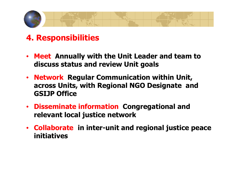

### **4. Responsibilities**

- • **Meet Annually with the Unit Leader and team to discuss status and review Unit goals**
- $\bullet$  **Network Regular Communication within Unit, across Units, with Regional NGO Designate and GSIJP Office**
- $\bullet$  **Disseminate information Congregational and relevant local justice network**
- **Collaborate in inter-unit and regional justice peace initiatives**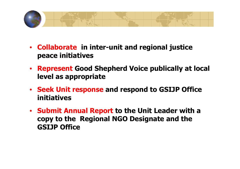

- **Collaborate in inter-unit and regional justice peace initiatives**
- **Represent Good Shepherd Voice publically at local level as appropriate**
- **Seek Unit response and respond to GSIJP Office initiatives**
- **Submit Annual Report to the Unit Leader with a copy to the Regional NGO Designate and the GSIJP Office**